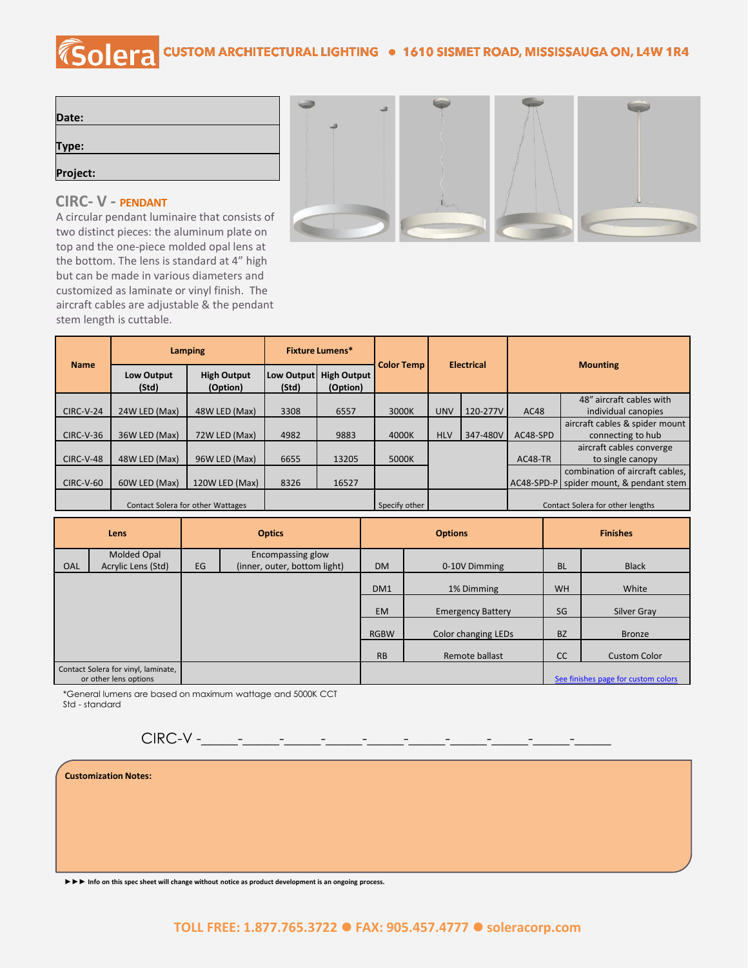## COLETA CUSTOM ARCHITECTURAL LIGHTING . 1610 SISMET ROAD, MISSISSAUGA ON, L4W 1R4

| Date:    |  |  |
|----------|--|--|
|          |  |  |
| Type:    |  |  |
|          |  |  |
| Project: |  |  |
|          |  |  |

## **CIRC- V - PENDANT**

A circular pendant luminaire that consists of two distinct pieces: the aluminum plate on top and the one-piece molded opal lens at the bottom. The lens is standard at 4" high but can be made in various diameters and customized as laminate or vinyl finish. The aircraft cables are adjustable & the pendant stem length is cuttable.



|                  | Lamping                    |                                          | <b>Fixture Lumens*</b> |                                |                   |                   |          |                 |                                         |
|------------------|----------------------------|------------------------------------------|------------------------|--------------------------------|-------------------|-------------------|----------|-----------------|-----------------------------------------|
| <b>Name</b>      | <b>Low Output</b><br>(Std) | <b>High Output</b><br>(Option)           | Low Output<br>(Std)    | <b>High Output</b><br>(Option) | <b>Color Temp</b> | <b>Electrical</b> |          | <b>Mounting</b> |                                         |
|                  |                            |                                          |                        |                                |                   |                   |          |                 | 48" aircraft cables with                |
| <b>CIRC-V-24</b> | 24W LED (Max)              | 48W LED (Max)                            | 3308                   | 6557                           | 3000K             | <b>UNV</b>        | 120-277V | AC48            | individual canopies                     |
|                  |                            |                                          |                        |                                |                   |                   |          |                 | aircraft cables & spider mount          |
| $CIRC-V-36$      | 36W LED (Max)              | 72W LED (Max)                            | 4982                   | 9883                           | 4000K             | <b>HLV</b>        | 347-480V | AC48-SPD        | connecting to hub                       |
|                  |                            |                                          |                        |                                |                   |                   |          |                 | aircraft cables converge                |
| CIRC-V-48        | 48W LED (Max)              | 96W LED (Max)                            | 6655                   | 13205                          | 5000K             |                   |          | AC48-TR         | to single canopy                        |
|                  |                            |                                          |                        |                                |                   |                   |          |                 | combination of aircraft cables,         |
| <b>CIRC-V-60</b> | 60W LED (Max)              | 120W LED (Max)                           | 8326                   | 16527                          |                   |                   |          |                 | AC48-SPD-P spider mount, & pendant stem |
|                  |                            | <b>Contact Solera for other Wattages</b> |                        |                                | Specify other     |                   |          |                 | Contact Solera for other lengths        |

| Lens |                                                              | <b>Optics</b> |                              |                 | <b>Options</b>           | <b>Finishes</b> |                                     |
|------|--------------------------------------------------------------|---------------|------------------------------|-----------------|--------------------------|-----------------|-------------------------------------|
|      | Molded Opal                                                  |               | Encompassing glow            |                 |                          |                 |                                     |
| OAL  | Acrylic Lens (Std)                                           | EG            | (inner, outer, bottom light) | <b>DM</b>       | 0-10V Dimming            | <b>BL</b>       | <b>Black</b>                        |
|      |                                                              |               |                              | DM <sub>1</sub> | 1% Dimming               | <b>WH</b>       | White                               |
|      |                                                              |               |                              | <b>EM</b>       | <b>Emergency Battery</b> | SG              | Silver Gray                         |
|      |                                                              |               |                              | <b>RGBW</b>     | Color changing LEDs      | <b>BZ</b>       | <b>Bronze</b>                       |
|      |                                                              |               |                              | <b>RB</b>       | Remote ballast           | <b>CC</b>       | <b>Custom Color</b>                 |
|      | Contact Solera for vinyl, laminate,<br>or other lens options |               |                              |                 |                          |                 | See finishes page for custom colors |

\*General lumens are based on maximum wattage and 5000K CCT Std - standard

 $CIRC-V$  - - - - - - -

|  | <b>Customization Notes:</b> |
|--|-----------------------------|
|  |                             |

**►►► Info on this spec sheet will change without notice as product development is an ongoing process.**